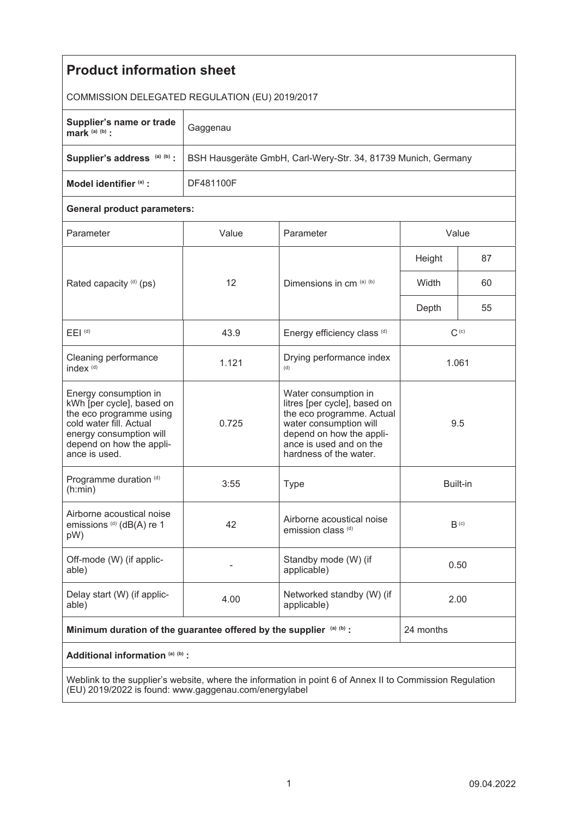| <b>Product information sheet</b>                                                                                                                                                 |                                                               |                                                                                                                                                                                              |                  |    |
|----------------------------------------------------------------------------------------------------------------------------------------------------------------------------------|---------------------------------------------------------------|----------------------------------------------------------------------------------------------------------------------------------------------------------------------------------------------|------------------|----|
| COMMISSION DELEGATED REGULATION (EU) 2019/2017                                                                                                                                   |                                                               |                                                                                                                                                                                              |                  |    |
| Supplier's name or trade<br>mark (a) (b) :                                                                                                                                       | Gaggenau                                                      |                                                                                                                                                                                              |                  |    |
| Supplier's address (a) (b) :                                                                                                                                                     | BSH Hausgeräte GmbH, Carl-Wery-Str. 34, 81739 Munich, Germany |                                                                                                                                                                                              |                  |    |
| Model identifier (a) :                                                                                                                                                           | DF481100F                                                     |                                                                                                                                                                                              |                  |    |
| <b>General product parameters:</b>                                                                                                                                               |                                                               |                                                                                                                                                                                              |                  |    |
| Parameter                                                                                                                                                                        | Value                                                         | Parameter                                                                                                                                                                                    | Value            |    |
| Rated capacity (d) (ps)                                                                                                                                                          | 12                                                            | Dimensions in cm (a) (b)                                                                                                                                                                     | Height           | 87 |
|                                                                                                                                                                                  |                                                               |                                                                                                                                                                                              | Width            | 60 |
|                                                                                                                                                                                  |                                                               |                                                                                                                                                                                              | Depth            | 55 |
| $E EI$ <sup>(d)</sup>                                                                                                                                                            | 43.9                                                          | Energy efficiency class (d)                                                                                                                                                                  | $C^{(c)}$        |    |
| Cleaning performance<br>index <sup>(d)</sup>                                                                                                                                     | 1.121                                                         | Drying performance index<br>(d)                                                                                                                                                              | 1.061            |    |
| Energy consumption in<br>kWh [per cycle], based on<br>the eco programme using<br>cold water fill. Actual<br>energy consumption will<br>depend on how the appli-<br>ance is used. | 0.725                                                         | Water consumption in<br>litres [per cycle], based on<br>the eco programme. Actual<br>water consumption will<br>depend on how the appli-<br>ance is used and on the<br>hardness of the water. | 9.5              |    |
| Programme duration (d)<br>(n:min)                                                                                                                                                | 3:55                                                          | <b>Type</b>                                                                                                                                                                                  | Built-in         |    |
| Airborne acoustical noise<br>emissions (d) (dB(A) re 1<br>pW)                                                                                                                    | 42                                                            | Airborne acoustical noise<br>emission class <sup>(d)</sup>                                                                                                                                   | B <sub>(c)</sub> |    |
| Off-mode (W) (if applic-<br>able)                                                                                                                                                |                                                               | Standby mode (W) (if<br>applicable)                                                                                                                                                          | 0.50             |    |
| Delay start (W) (if applic-<br>able)                                                                                                                                             | 4.00                                                          | Networked standby (W) (if<br>applicable)                                                                                                                                                     | 2.00             |    |
| Minimum duration of the guarantee offered by the supplier (a) (b) :                                                                                                              |                                                               |                                                                                                                                                                                              | 24 months        |    |
| Additional information (a) (b) :                                                                                                                                                 |                                                               |                                                                                                                                                                                              |                  |    |
| Weblink to the supplier's website, where the information in point 6 of Anney II to Commission Requisition                                                                        |                                                               |                                                                                                                                                                                              |                  |    |

Weblink to the supplier's website, where the information in point 6 of Annex II to Commission Regulation (EU) 2019/2022 is found: www.gaggenau.com/energylabel